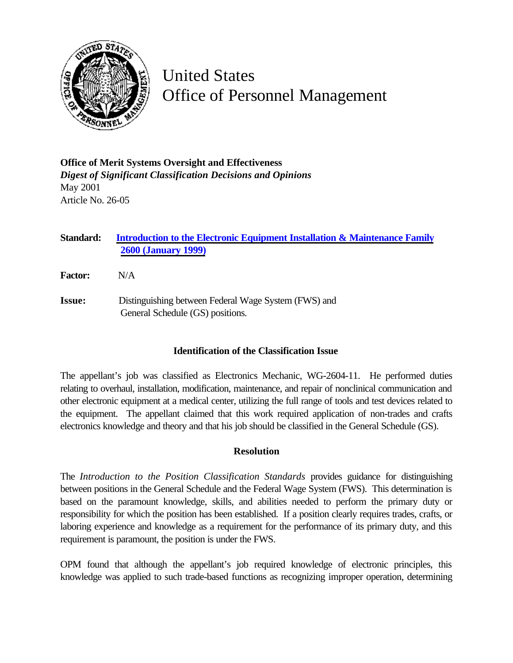

## United States Office of Personnel Management

**Office of Merit Systems Oversight and Effectiveness** *Digest of Significant Classification Decisions and Opinions* May 2001 Article No. 26-05

**Standard: [Introduction to the Electronic Equipment Installation & Maintenance Family](http://www.opm.gov/fedclass/fws2600.pdf) 2600 (January 1999)**

- **Factor:** N/A
- **Issue:** Distinguishing between Federal Wage System (FWS) and General Schedule (GS) positions.

## **Identification of the Classification Issue**

The appellant's job was classified as Electronics Mechanic, WG-2604-11. He performed duties relating to overhaul, installation, modification, maintenance, and repair of nonclinical communication and other electronic equipment at a medical center, utilizing the full range of tools and test devices related to the equipment. The appellant claimed that this work required application of non-trades and crafts electronics knowledge and theory and that his job should be classified in the General Schedule (GS).

## **Resolution**

The *Introduction to the Position Classification Standards* provides guidance for distinguishing between positions in the General Schedule and the Federal Wage System (FWS). This determination is based on the paramount knowledge, skills, and abilities needed to perform the primary duty or responsibility for which the position has been established. If a position clearly requires trades, crafts, or laboring experience and knowledge as a requirement for the performance of its primary duty, and this requirement is paramount, the position is under the FWS.

OPM found that although the appellant's job required knowledge of electronic principles, this knowledge was applied to such trade-based functions as recognizing improper operation, determining